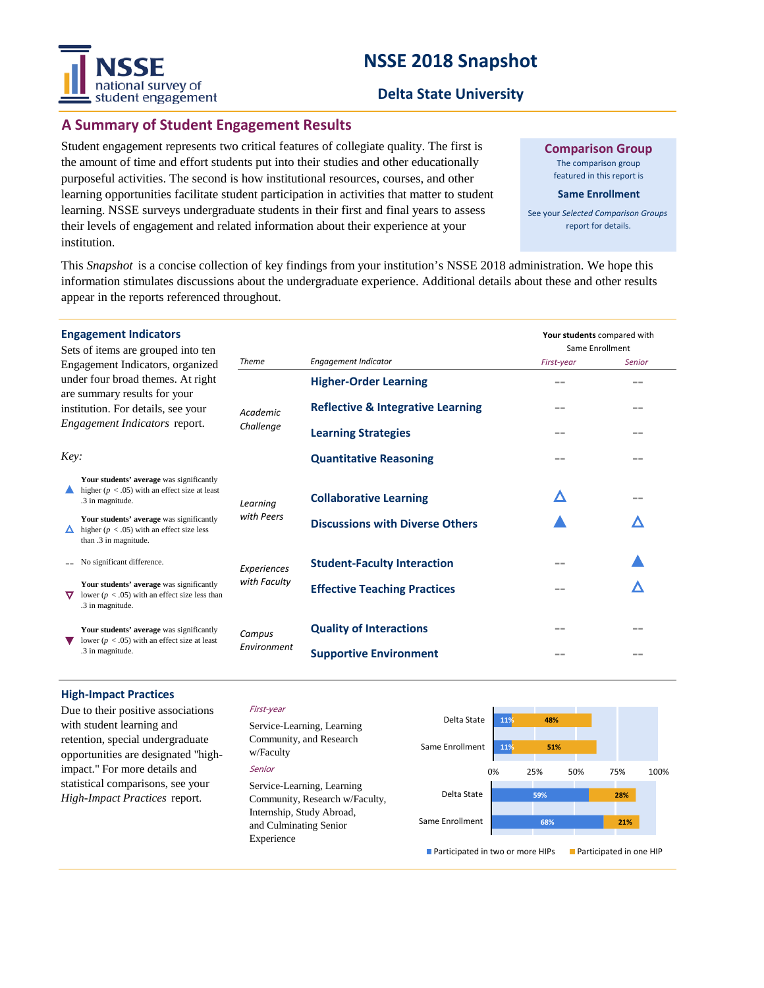# **NSSE 2018 Snapshot**



## **A Summary of Student Engagement Results**

Student engagement represents two critical features of collegiate quality. The first is the amount of time and effort students put into their studies and other educationally purposeful activities. The second is how institutional resources, courses, and other learning opportunities facilitate student participation in activities that matter to student learning. NSSE surveys undergraduate students in their first and final years to assess their levels of engagement and related information about their experience at your institution.

**Comparison Group**

The comparison group featured in this report is

#### **Same Enrollment**

See your *Selected Comparison Groups*  report for details.

This *Snapshot* is a concise collection of key findings from your institution's NSSE 2018 administration. We hope this information stimulates discussions about the undergraduate experience. Additional details about these and other results appear in the reports referenced throughout.

| <b>Engagement Indicators</b><br>Sets of items are grouped into ten                                                                                                                   |                                                                                                                    |                              |                                              | Your students compared with<br>Same Enrollment |        |
|--------------------------------------------------------------------------------------------------------------------------------------------------------------------------------------|--------------------------------------------------------------------------------------------------------------------|------------------------------|----------------------------------------------|------------------------------------------------|--------|
| Engagement Indicators, organized<br>under four broad themes. At right<br>are summary results for your<br>institution. For details, see your<br>Engagement Indicators report.<br>Key: |                                                                                                                    | Theme                        | Engagement Indicator                         | First-year                                     | Senior |
|                                                                                                                                                                                      |                                                                                                                    | <b>Academic</b><br>Challenge | <b>Higher-Order Learning</b>                 | --                                             |        |
|                                                                                                                                                                                      |                                                                                                                    |                              | <b>Reflective &amp; Integrative Learning</b> |                                                | --     |
|                                                                                                                                                                                      |                                                                                                                    |                              | <b>Learning Strategies</b>                   | --                                             | --     |
|                                                                                                                                                                                      |                                                                                                                    |                              | <b>Quantitative Reasoning</b>                |                                                |        |
|                                                                                                                                                                                      | Your students' average was significantly<br>higher ( $p < .05$ ) with an effect size at least<br>.3 in magnitude.  | Learning<br>with Peers       | <b>Collaborative Learning</b>                | Δ                                              |        |
|                                                                                                                                                                                      | Your students' average was significantly<br>higher ( $p < .05$ ) with an effect size less<br>than .3 in magnitude. |                              | <b>Discussions with Diverse Others</b>       |                                                |        |
|                                                                                                                                                                                      | No significant difference.                                                                                         | Experiences<br>with Faculty  | <b>Student-Faculty Interaction</b>           |                                                |        |
| ᢦ                                                                                                                                                                                    | Your students' average was significantly<br>lower ( $p < .05$ ) with an effect size less than<br>.3 in magnitude.  |                              | <b>Effective Teaching Practices</b>          |                                                |        |
|                                                                                                                                                                                      | Your students' average was significantly<br>lower ( $p < .05$ ) with an effect size at least<br>.3 in magnitude.   | Campus<br>Environment        | <b>Quality of Interactions</b>               |                                                |        |
|                                                                                                                                                                                      |                                                                                                                    |                              | <b>Supportive Environment</b>                |                                                | --     |

#### **High-Impact Practices**

Due to their positive associations with student learning and retention, special undergraduate opportunities are designated "highimpact." For more details and statistical comparisons, see your *High-Impact Practices* report.

#### First-year

Senior Service-Learning, Learning Community, and Research w/Faculty Service-Learning, Learning Community, Research w/Faculty, Internship, Study Abroad, and Culminating Senior Experience



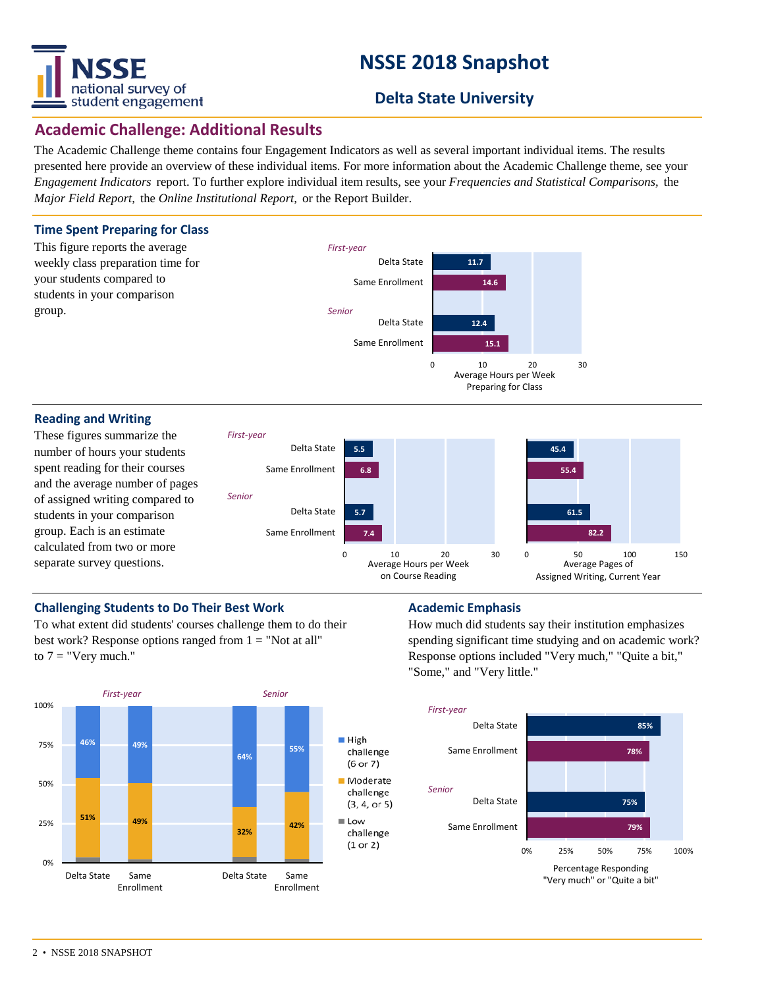

# **NSSE 2018 Snapshot**

# **Delta State University**

# **Academic Challenge: Additional Results**

The Academic Challenge theme contains four Engagement Indicators as well as several important individual items. The results presented here provide an overview of these individual items. For more information about the Academic Challenge theme, see your *Engagement Indicators* report. To further explore individual item results, see your *Frequencies and Statistical Comparisons,* the *Major Field Report,* the *Online Institutional Report,* or the Report Builder.



### **Reading and Writing**

These figures summarize the number of hours your students spent reading for their courses and the average number of pages of assigned writing compared to students in your comparison group. Each is an estimate calculated from two or more separate survey questions.



### **Challenging Students to Do Their Best Work <b>Academic Emphasis**

To what extent did students' courses challenge them to do their best work? Response options ranged from  $1 = "Not at all"$ to  $7 =$  "Very much."



How much did students say their institution emphasizes spending significant time studying and on academic work? Response options included "Very much," "Quite a bit," "Some," and "Very little."

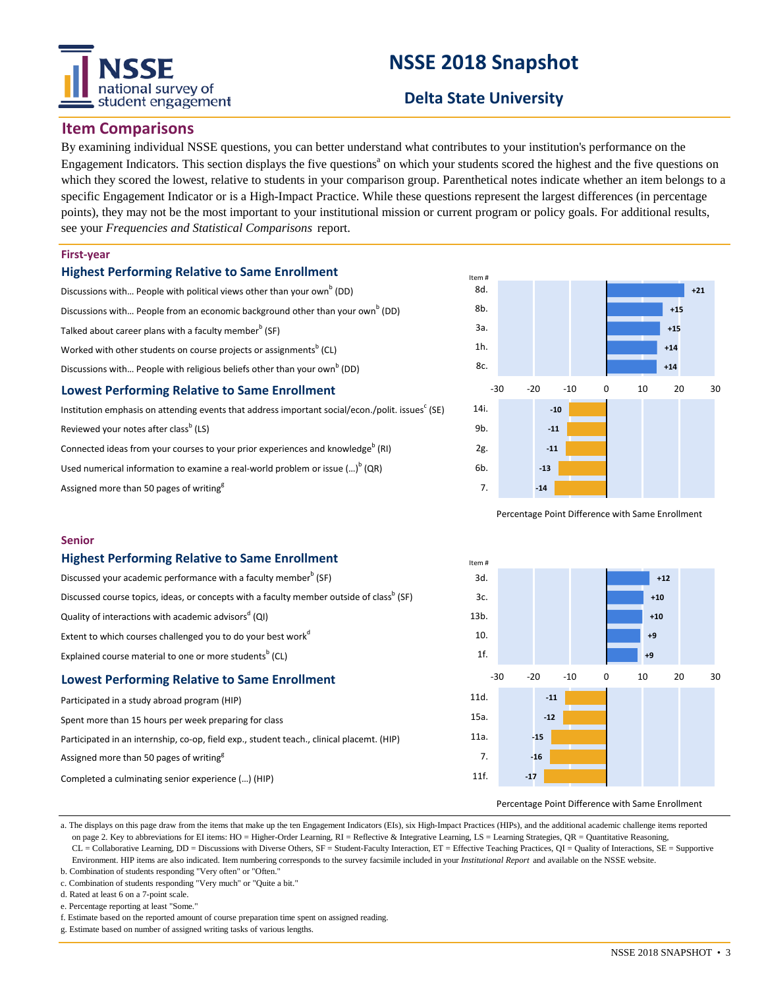# national survey of student engagement

# **NSSE 2018 Snapshot**

# **Delta State University**

## **Item Comparisons**

By examining individual NSSE questions, you can better understand what contributes to your institution's performance on the Engagement Indicators. This section displays the five questions<sup>a</sup> on which your students scored the highest and the five questions on which they scored the lowest, relative to students in your comparison group. Parenthetical notes indicate whether an item belongs to a specific Engagement Indicator or is a High-Impact Practice. While these questions represent the largest differences (in percentage points), they may not be the most important to your institutional mission or current program or policy goals. For additional results, see your *Frequencies and Statistical Comparisons* report.

### **First-year**

### **Highest Performing Relative to Same Enrollment**

- Discussions with... People with political views other than your own<sup>b</sup> (DD) Discussions with... People from an economic background other than your own<sup>b</sup> (DD) Talked about career plans with a faculty member<sup>b</sup> (SF) Worked with other students on course projects or assignments $^{\sf b}$  (CL) Discussions with... People with religious beliefs other than your own<sup>b</sup> (DD) **Lowest Performing Relative to Same Enrollment**
- Institution emphasis on attending events that address important social/econ./polit. issues<sup>c</sup> (SE) Reviewed your notes after class<sup>b</sup> (LS)

Connected ideas from your courses to your prior experiences and knowledge<sup>b</sup> (RI) Used numerical information to examine a real-world problem or issue  $(\ldots)^b$  (QR)

Assigned more than 50 pages of writing<sup>8</sup>



Percentage Point Difference with Same Enrollment

#### **Senior**

#### **Highest Performing Relative to Same Enrollment**

| the constant of a contract the field of the constant of the constant of the constant of the constant of the constant of the constant of the constant of the constant of the constant of the constant of the constant of the co |  |  |  |  |  |
|--------------------------------------------------------------------------------------------------------------------------------------------------------------------------------------------------------------------------------|--|--|--|--|--|
| Explained course material to one or more students <sup>b</sup> (CL)                                                                                                                                                            |  |  |  |  |  |
| Extent to which courses challenged you to do your best work <sup>d</sup>                                                                                                                                                       |  |  |  |  |  |
| Quality of interactions with academic advisors <sup>a</sup> (QI)                                                                                                                                                               |  |  |  |  |  |
| Discussed course topics, ideas, or concepts with a faculty member outside of class <sup>b</sup> (SF)                                                                                                                           |  |  |  |  |  |
| Discussed your academic performance with a faculty member <sup>b</sup> (SF)                                                                                                                                                    |  |  |  |  |  |

### **Lowest Performing Relative to Same Enrollment**

| Participated in a study abroad program (HIP)                                              |  |  |  |  |  |  |
|-------------------------------------------------------------------------------------------|--|--|--|--|--|--|
| Spent more than 15 hours per week preparing for class                                     |  |  |  |  |  |  |
| Participated in an internship, co-op, field exp., student teach., clinical placemt. (HIP) |  |  |  |  |  |  |
| Assigned more than 50 pages of writing <sup>8</sup>                                       |  |  |  |  |  |  |
| Completed a culminating senior experience () (HIP)                                        |  |  |  |  |  |  |



#### Percentage Point Difference with Same Enrollment

a. The displays on this page draw from the items that make up the ten Engagement Indicators (EIs), six High-Impact Practices (HIPs), and the additional academic challenge items reported on page 2. Key to abbreviations for EI items: HO = Higher-Order Learning, RI = Reflective & Integrative Learning, LS = Learning Strategies, QR = Quantitative Reasoning, CL = Collaborative Learning, DD = Discussions with Diverse Others, SF = Student-Faculty Interaction, ET = Effective Teaching Practices, QI = Quality of Interactions, SE = Supportive Environment. HIP items are also indicated. Item numbering corresponds to the survey facsimile included in your *Institutional Report* and available on the NSSE website.

- b. Combination of students responding "Very often" or "Often."
- c. Combination of students responding "Very much" or "Quite a bit."

d. Rated at least 6 on a 7-point scale.

e. Percentage reporting at least "Some."

f. Estimate based on the reported amount of course preparation time spent on assigned reading.

g. Estimate based on number of assigned writing tasks of various lengths.